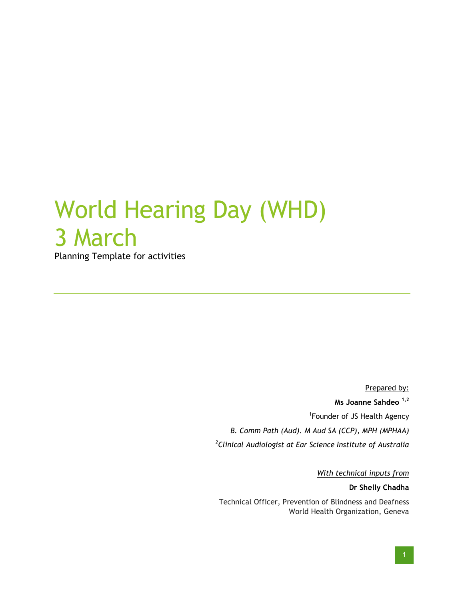## World Hearing Day (WHD) 3 March

Planning Template for activities

Prepared by: **Ms Joanne Sahdeo 1,2** <sup>1</sup>Founder of JS Health Agency *B. Comm Path (Aud). M Aud SA (CCP), MPH (MPHAA) 2 Clinical Audiologist at Ear Science Institute of Australia* 

*With technical inputs from*

**Dr Shelly Chadha**

Technical Officer, Prevention of Blindness and Deafness World Health Organization, Geneva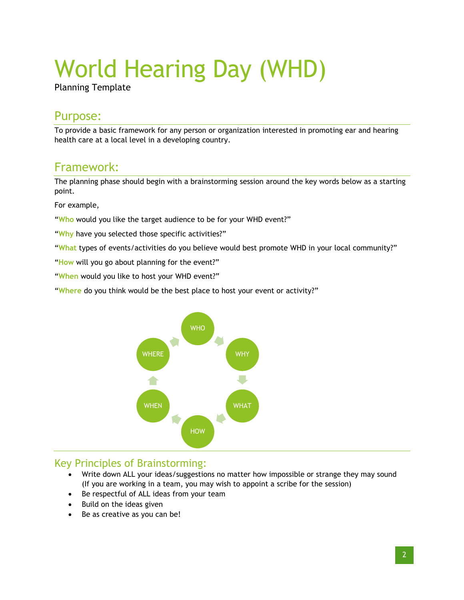# World Hearing Day (WHD)

Planning Template

## Purpose:

To provide a basic framework for any person or organization interested in promoting ear and hearing health care at a local level in a developing country.

## Framework:

The planning phase should begin with a brainstorming session around the key words below as a starting point.

For example,

"**Who** would you like the target audience to be for your WHD event?"

"**Why** have you selected those specific activities?"

"**What** types of events/activities do you believe would best promote WHD in your local community?"

"**How** will you go about planning for the event?"

"**When** would you like to host your WHD event?"

"**Where** do you think would be the best place to host your event or activity?"



#### Key Principles of Brainstorming:

- Write down ALL your ideas/suggestions no matter how impossible or strange they may sound (If you are working in a team, you may wish to appoint a scribe for the session)
- Be respectful of ALL ideas from your team
- Build on the ideas given
- Be as creative as you can be!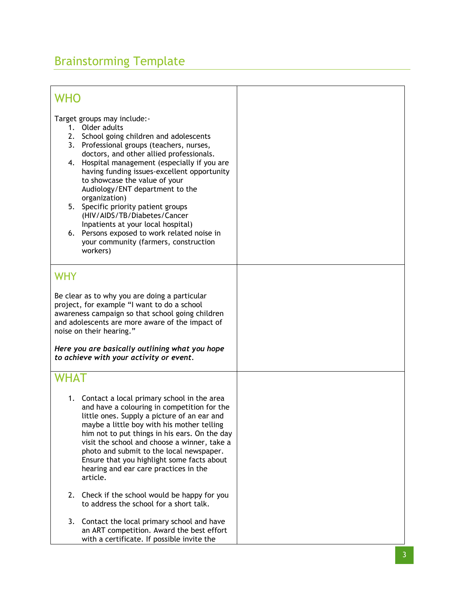## Brainstorming Template

| WHO                                                                                                                                                                                                                                                                                                                                                                                                                                                                                                                                                                                                   |  |
|-------------------------------------------------------------------------------------------------------------------------------------------------------------------------------------------------------------------------------------------------------------------------------------------------------------------------------------------------------------------------------------------------------------------------------------------------------------------------------------------------------------------------------------------------------------------------------------------------------|--|
| Target groups may include:-<br>1. Older adults<br>2.<br>School going children and adolescents<br>Professional groups (teachers, nurses,<br>3.<br>doctors, and other allied professionals.<br>Hospital management (especially if you are<br>4.<br>having funding issues-excellent opportunity<br>to showcase the value of your<br>Audiology/ENT department to the<br>organization)<br>5. Specific priority patient groups<br>(HIV/AIDS/TB/Diabetes/Cancer<br>Inpatients at your local hospital)<br>Persons exposed to work related noise in<br>6.<br>your community (farmers, construction<br>workers) |  |
| WHY<br>Be clear as to why you are doing a particular<br>project, for example "I want to do a school<br>awareness campaign so that school going children<br>and adolescents are more aware of the impact of<br>noise on their hearing."<br>Here you are basically outlining what you hope<br>to achieve with your activity or event.                                                                                                                                                                                                                                                                   |  |
| WHAT<br>1. Contact a local primary school in the area<br>and have a colouring in competition for the<br>little ones. Supply a picture of an ear and<br>maybe a little boy with his mother telling<br>him not to put things in his ears. On the day<br>visit the school and choose a winner, take a<br>photo and submit to the local newspaper.<br>Ensure that you highlight some facts about<br>hearing and ear care practices in the<br>article.                                                                                                                                                     |  |
| Check if the school would be happy for you<br>2.<br>to address the school for a short talk.                                                                                                                                                                                                                                                                                                                                                                                                                                                                                                           |  |
| Contact the local primary school and have<br>3.<br>an ART competition. Award the best effort<br>with a certificate. If possible invite the                                                                                                                                                                                                                                                                                                                                                                                                                                                            |  |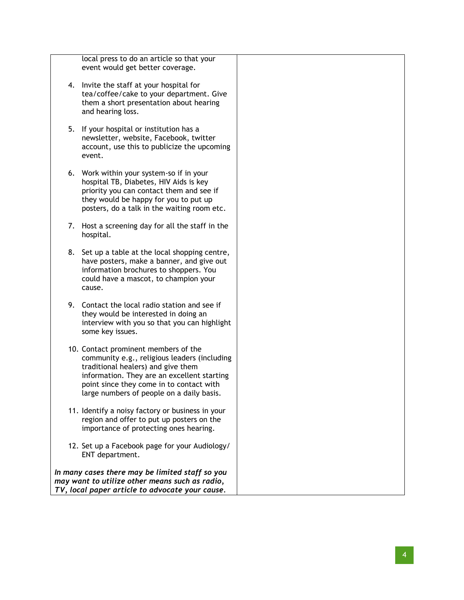local press to do an article so that your event would get better coverage.

- 4. Invite the staff at your hospital for tea/coffee/cake to your department. Give them a short presentation about hearing and hearing loss.
- 5. If you r hospital or institution has a newsletter, website, Facebook, twitter account , use this to publicize the upcoming event.
- 6. Work within your system -so if in your hospital TB, Diabetes, HIV Aids is key priority you can contact them and see if they would be happy for you to put up posters, do a talk in the waiting room etc .
- 7. Host a screening day for all the staff in the hospital.
- 8. Set up a table at the local shopping centre, have posters, make a banner, and give out information brochures to shoppers. You could have a mascot, to champion your cause.
- 9. Contact the local radio station and see if they would be interested in doing an interview with you so that you can highlight some key issues.
- 10. Contact prominent members of the community e.g., religious leaders (including traditional healers) and give them information. They are an excellent starting point since they come in to contact with large numbers of people on a daily basis.
- 11. Identify a noisy factory or business in your region and offer to put up posters on the importance of protecting ones hearing.
- 12. Set up a Facebook page for your Audiology/ ENT department.

*In many cases there may be limited staff so you may want to utilize other means such as radio, TV, local paper article to advocate your cause.*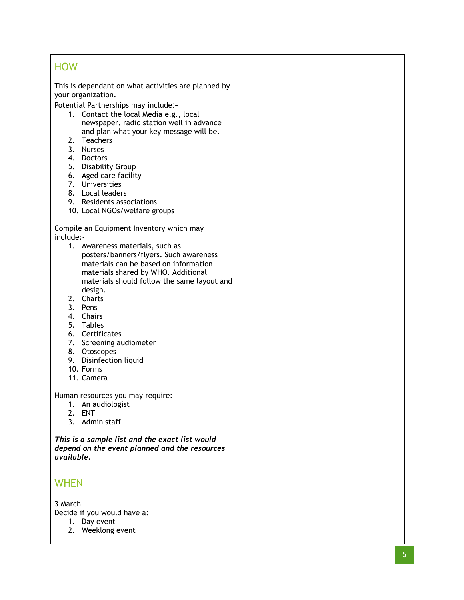#### **HOW**

This is dependant on what activities are planned by your organization.

Potential Partnerships may include : -

- 1. Contact the local Media e.g., local newspaper, radio station well in advance and plan what your key message will be.
- 2. Teachers
- 3. Nurses
- 4. Doctors
- 5. Disability Group
- 6. Aged care facility
- 7. Universities
- 8. Local leaders
- 9. Residents associations
- 10. Local NGOs/welfare groups

Compile an Equipment Inventory which may include: -

- 1. Awareness materials, such as posters/banners/flyers. Such awareness materials can be based on information materials shared by WHO. Additional materials should follow the same layout and design.
- 2. Charts
- 3. Pens
- 4. Chairs
- 5. Tables
- 6. Certificates
- 7. Screening audiometer
- 8. Otoscopes
- 9. Disinfection liquid
- 10. Forms
- 11. Camera

Human resources you may require:

- 1. An audiologist
- 2. ENT
- 3. Admin staff

*This is a sample list and the exact list would depend on the event planned and the resources available.* 

#### **WHEN**

3 March

Decide if you would have a:

- 1. Day event
- 2. Weeklong event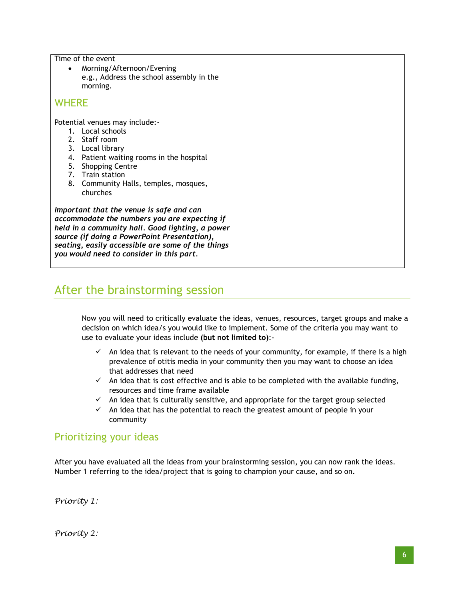| Time of the event                                         |  |
|-----------------------------------------------------------|--|
| Morning/Afternoon/Evening                                 |  |
| e.g., Address the school assembly in the                  |  |
| morning.                                                  |  |
| <b>WHERE</b>                                              |  |
| Potential venues may include:-                            |  |
| 1. Local schools                                          |  |
| 2. Staff room                                             |  |
| 3. Local library                                          |  |
| Patient waiting rooms in the hospital<br>4.               |  |
| 5.<br><b>Shopping Centre</b>                              |  |
| 7. Train station<br>8. Community Halls, temples, mosques, |  |
| churches                                                  |  |
|                                                           |  |
| Important that the venue is safe and can                  |  |
| accommodate the numbers you are expecting if              |  |
| held in a community hall. Good lighting, a power          |  |
| source (if doing a PowerPoint Presentation),              |  |
| seating, easily accessible are some of the things         |  |
| you would need to consider in this part.                  |  |

## After the brainstorming session

Now you will need to critically evaluate the ideas, venues, resources, target groups and make a decision on which idea/s you would like to implement. Some of the criteria you may want to use to evaluate your ideas include **(but not limited to)**:-

- $\checkmark$  An idea that is relevant to the needs of your community, for example, if there is a high prevalence of otitis media in your community then you may want to choose an idea that addresses that need
- $\checkmark$  An idea that is cost effective and is able to be completed with the available funding, resources and time frame available
- $\checkmark$  An idea that is culturally sensitive, and appropriate for the target group selected
- $\checkmark$  An idea that has the potential to reach the greatest amount of people in your community

#### Prioritizing your ideas

After you have evaluated all the ideas from your brainstorming session, you can now rank the ideas. Number 1 referring to the idea/project that is going to champion your cause, and so on.

*Priority 1:*

*Priority 2:*